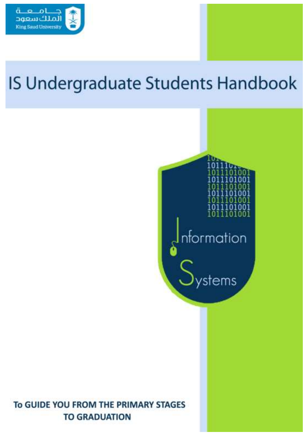

# IS Undergraduate Students Handbook



## To GUIDE YOU FROM THE PRIMARY STAGES **TO GRADUATION**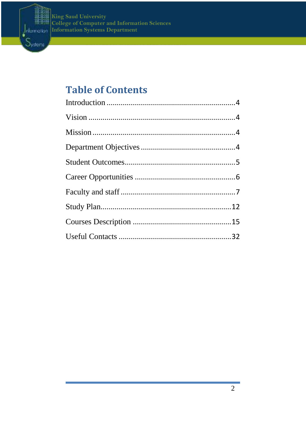



## **Table of Contents**

**LLEGE OF COMPUTER AND INFORMATION SCIENCES** 

**ORMATION SYSTEMS DEPARTMENT**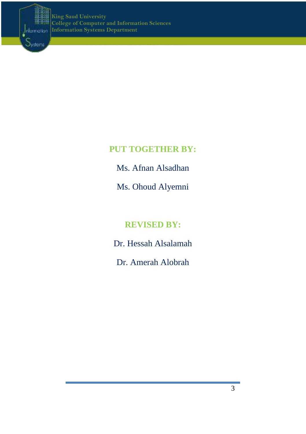

## **PUT TOGETHER BY:**

**LLEGE OF COMPUTER AND INFORMATION SCIENCES** 

**ORMATION SYSTEMS DEPARTMENT**

Ms. Afnan Alsadhan

Ms. Ohoud Alyemni

## **REVISED BY:**

Dr. Hessah Alsalamah

Dr. Amerah Alobrah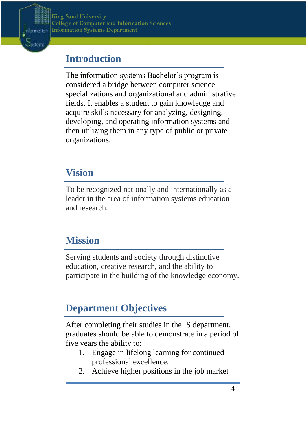

## <span id="page-3-0"></span>**Introduction**

**DEPARTMENT**

The information systems Bachelor's program is considered a bridge between computer science specializations and organizational and administrative fields. It enables a student to gain knowledge and acquire skills necessary for analyzing, designing, developing, and operating information systems and then utilizing them in any type of public or private organizations.

**LLEGE OF COMPUTER AND INFORMATION SCIENCES** 

**ORMATION SYSTEMS DEPARTMENT**

## <span id="page-3-1"></span>**Vision**

To be recognized nationally and internationally as a leader in the area of information systems education and research.

## <span id="page-3-2"></span>**Mission**

Serving students and society through distinctive education, creative research, and the ability to participate in the building of the knowledge economy.

## <span id="page-3-3"></span>**Department Objectives**

After completing their studies in the IS department, graduates should be able to demonstrate in a period of five years the ability to:

- 1. Engage in lifelong learning for continued professional excellence.
- 2. Achieve higher positions in the job market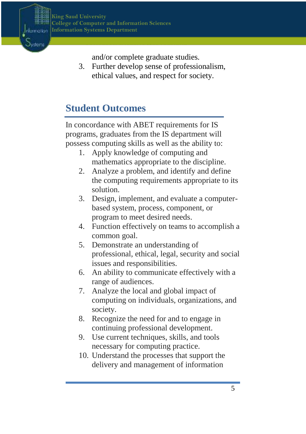

**Ovster** 

and/or complete graduate studies.

**ORMATION SYSTEMS DEPARTMENT**

3. Further develop sense of professionalism, ethical values, and respect for society.

**LLEGE OF COMPUTER AND INFORMATION SCIENCES** 

## <span id="page-4-0"></span>**Student Outcomes**

In concordance with ABET requirements for IS programs, graduates from the IS department will possess computing skills as well as the ability to:

- 1. Apply knowledge of computing and mathematics appropriate to the discipline.
- 2. Analyze a problem, and identify and define the computing requirements appropriate to its solution.
- 3. Design, implement, and evaluate a computerbased system, process, component, or program to meet desired needs.
- 4. Function effectively on teams to accomplish a common goal.
- 5. Demonstrate an understanding of professional, ethical, legal, security and social issues and responsibilities.
- 6. An ability to communicate effectively with a range of audiences.
- 7. Analyze the local and global impact of computing on individuals, organizations, and society.
- 8. Recognize the need for and to engage in continuing professional development.
- 9. Use current techniques, skills, and tools necessary for computing practice.
- 10. Understand the processes that support the delivery and management of information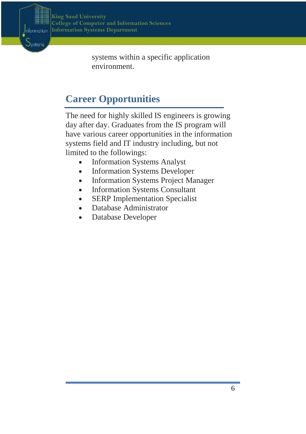

Oysten

systems within a specific application environment.

**ORMATION SYSTEMS DEPARTMENT**

**LLEGE OF COMPUTER AND INFORMATION SCIENCES** 

## <span id="page-5-0"></span>**Career Opportunities**

The need for highly skilled IS engineers is growing day after day. Graduates from the IS program will have various career opportunities in the information systems field and IT industry including, but not limited to the followings:

- Information Systems Analyst
- Information Systems Developer
- Information Systems Project Manager
- Information Systems Consultant
- SERP Implementation Specialist
- Database Administrator
- Database Developer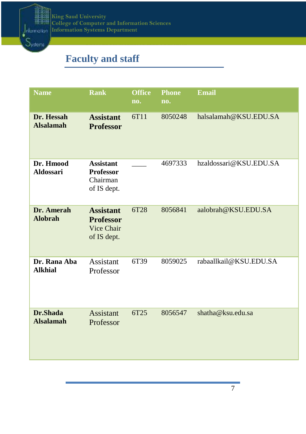

## <span id="page-6-0"></span>**Faculty and staff**

**DEPARTMENT**

| <b>Name</b>                    | <b>Rank</b>                                                       | <b>Office</b><br>no. | <b>Phone</b><br>no. | <b>Email</b>           |
|--------------------------------|-------------------------------------------------------------------|----------------------|---------------------|------------------------|
| Dr. Hessah<br><b>Alsalamah</b> | <b>Assistant</b><br><b>Professor</b>                              | 6T11                 | 8050248             | halsalamah@KSU.EDU.SA  |
| Dr. Hmood<br><b>Aldossari</b>  | <b>Assistant</b><br><b>Professor</b><br>Chairman<br>of IS dept.   |                      | 4697333             | hzaldossari@KSU.EDU.SA |
| Dr. Amerah<br><b>Alobrah</b>   | <b>Assistant</b><br><b>Professor</b><br>Vice Chair<br>of IS dept. | 6T28                 | 8056841             | aalobrah@KSU.EDU.SA    |
| Dr. Rana Aba<br><b>Alkhial</b> | Assistant<br>Professor                                            | 6T39                 | 8059025             | rabaallkail@KSU.EDU.SA |
| Dr.Shada<br><b>Alsalamah</b>   | Assistant<br>Professor                                            | 6T25                 | 8056547             | shatha@ksu.edu.sa      |

**LLEGE OF COMPUTER AND INFORMATION SCIENCES** 

**ORMATION SYSTEMS DEPARTMENT**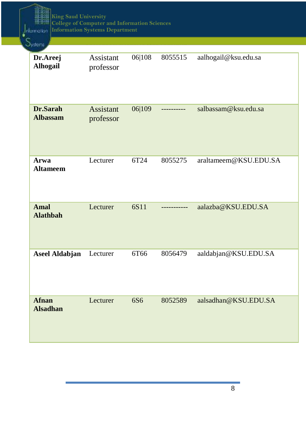mputer and information<br>-**G SAUD UNIVERSITY LLEGE OF COMPUTER AND INFORMATION SCIENCES ORMATION SYSTEMS King Saud University College of Computer and Information Sciences Information Systems Department** 

**DEPARTMENT**

determination k

| Јузве⊓а                         |                               |                 |         |                       |
|---------------------------------|-------------------------------|-----------------|---------|-----------------------|
| Dr.Areej<br><b>Alhogail</b>     | Assistant<br>professor        | 06 108          | 8055515 | aalhogail@ksu.edu.sa  |
| Dr.Sarah<br><b>Albassam</b>     | <b>Assistant</b><br>professor | 06 109          |         | salbassam@ksu.edu.sa  |
| Arwa<br><b>Altameem</b>         | Lecturer                      | 6T24            | 8055275 | araltameem@KSU.EDU.SA |
| <b>Amal</b><br><b>Alathbah</b>  | Lecturer                      | 6S11            |         | aalazba@KSU.EDU.SA    |
| <b>Aseel Aldabjan</b>           | Lecturer                      | 6T66            | 8056479 | aaldabjan@KSU.EDU.SA  |
| <b>Afnan</b><br><b>Alsadhan</b> | Lecturer                      | 6S <sub>6</sub> | 8052589 | aalsadhan@KSU.EDU.SA  |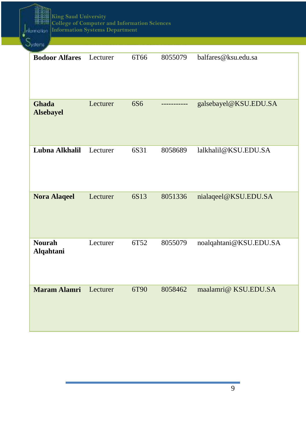$\int$  elemention S<sub>yste</sub>

珊

| иузтег⊓а                   |          |                 |         |                        |
|----------------------------|----------|-----------------|---------|------------------------|
| <b>Bodoor Alfares</b>      | Lecturer | 6T66            | 8055079 | balfares@ksu.edu.sa    |
| Ghada<br><b>Alsebayel</b>  | Lecturer | 6S <sub>6</sub> |         | galsebayel@KSU.EDU.SA  |
| Lubna Alkhalil             | Lecturer | 6S31            | 8058689 | lalkhalil@KSU.EDU.SA   |
| <b>Nora Alaqeel</b>        | Lecturer | 6S13            | 8051336 | nialaqeel@KSU.EDU.SA   |
| <b>Nourah</b><br>Alqahtani | Lecturer | 6T52            | 8055079 | noalqahtani@KSU.EDU.SA |
| <b>Maram Alamri</b>        | Lecturer | 6T90            | 8058462 | maalamri@ KSU.EDU.SA   |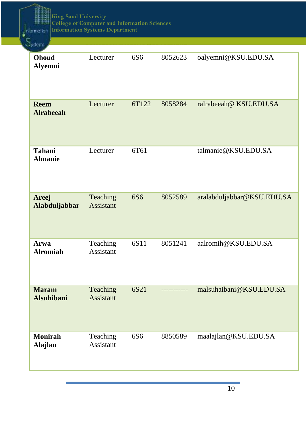mputer and information<br>-**G SAUD UNIVERSITY LLEGE OF COMPUTER AND INFORMATION SCIENCES ORMATION SYSTEMS King Saud University College of Computer and Information Sciences Information Systems Department** 

**DEPARTMENT**

delementer 's

| луатепт                           |                              |                 |           |                            |
|-----------------------------------|------------------------------|-----------------|-----------|----------------------------|
| Ohoud<br><b>Alyemni</b>           | Lecturer                     | 6S6             | 8052623   | oalyemni@KSU.EDU.SA        |
| <b>Reem</b><br><b>Alrabeeah</b>   | Lecturer                     | 6T122           | 8058284   | ralrabeeah@ KSU.EDU.SA     |
| <b>Tahani</b><br><b>Almanie</b>   | Lecturer                     | 6T61            | --------- | talmanie@KSU.EDU.SA        |
| Areej<br>Alabduljabbar            | Teaching<br><b>Assistant</b> | 6S <sub>6</sub> | 8052589   | aralabduljabbar@KSU.EDU.SA |
| Arwa<br><b>Alromiah</b>           | Teaching<br>Assistant        | 6S11            | 8051241   | aalromih@KSU.EDU.SA        |
| <b>Maram</b><br><b>Alsuhibani</b> | Teaching<br><b>Assistant</b> | 6S21            |           | malsuhaibani@KSU.EDU.SA    |
| <b>Monirah</b><br>Alajlan         | Teaching<br>Assistant        | 6S6             | 8850589   | maalajlan@KSU.EDU.SA       |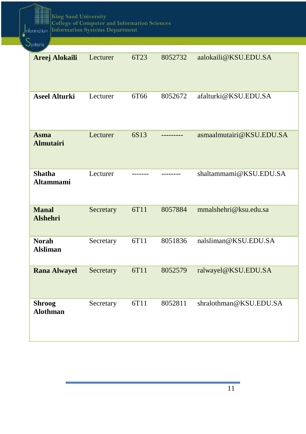mputer and information<br>-**G SAUD UNIVERSITY LLEGE OF COMPUTER AND INFORMATION SCIENCES ORMATION SYSTEMS King Saud University College of Computer and Information Sciences Information Systems Department** 

**DEPARTMENT**

Information 's

| Jystems                           |           |                  |         |                          |
|-----------------------------------|-----------|------------------|---------|--------------------------|
| Areej Alokaili                    | Lecturer  | 6T <sub>23</sub> | 8052732 | aalokaili@KSU.EDU.SA     |
| <b>Aseel Alturki</b>              | Lecturer  | 6T66             | 8052672 | afalturki@KSU.EDU.SA     |
| <b>Asma</b><br><b>Almutairi</b>   | Lecturer  | 6S13             |         | asmaalmutairi@KSU.EDU.SA |
| <b>Shatha</b><br><b>Altammami</b> | Lecturer  |                  |         | shaltammami@KSU.EDU.SA   |
| <b>Manal</b><br><b>Alshehri</b>   | Secretary | 6T11             | 8057884 | mmalshehri@ksu.edu.sa    |
| <b>Norah</b><br><b>Alsliman</b>   | Secretary | 6T11             | 8051836 | nalsliman@KSU.EDU.SA     |
| <b>Rana Alwayel</b>               | Secretary | 6T11             | 8052579 | ralwayel@KSU.EDU.SA      |
| <b>Shroog</b><br><b>Alothman</b>  | Secretary | 6T11             | 8052811 | shralothman@KSU.EDU.SA   |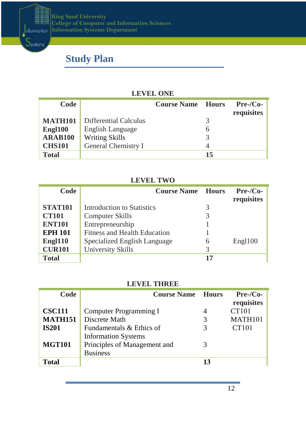

## <span id="page-11-0"></span>**Study Plan**

**DEPARTMENT**

Systems

#### **LEVEL ONE**

**LLEGE OF COMPUTER AND INFORMATION SCIENCES** 

**ORMATION SYSTEMS DEPARTMENT**

| Code                |                       | <b>Course Name</b> | — Hours | $Pre-Co-$<br>requisites |
|---------------------|-----------------------|--------------------|---------|-------------------------|
| <b>MATH101</b>      | Differential Calculus |                    | 3       |                         |
| Engl <sub>100</sub> | English Language      |                    | 6       |                         |
| <b>ARAB100</b>      | Writing Skills        |                    |         |                         |
| <b>CHS101</b>       | General Chemistry I   |                    |         |                         |
| <b>Total</b>        |                       |                    | 15      |                         |

#### **LEVEL TWO**

| Code           | <b>Course Name</b>           | <b>Hours</b> | $Pre-Co-$<br>requisites |
|----------------|------------------------------|--------------|-------------------------|
| <b>STAT101</b> | Introduction to Statistics   | 3            |                         |
| <b>CT101</b>   | Computer Skills              | 3            |                         |
| <b>ENT101</b>  | Entrepreneurship             |              |                         |
| <b>EPH 101</b> | Fitness and Health Education |              |                         |
| Engl110        | Specialized English Language | 6            | Engl100                 |
| <b>CUR101</b>  | University Skills            | 3            |                         |
| <b>Total</b>   |                              |              |                         |

#### **LEVEL THREE**

| Code           | <b>Course Name</b>           | <b>Hours</b> | $Pre-Co-$           |
|----------------|------------------------------|--------------|---------------------|
|                |                              |              | requisites          |
| <b>CSC111</b>  | Computer Programming I       | 4            | CT101               |
| <b>MATH151</b> | Discrete Math                | 3            | MATH <sub>101</sub> |
| <b>IS201</b>   | Fundamentals & Ethics of     |              | CT101               |
|                | <b>Information Systems</b>   |              |                     |
| <b>MGT101</b>  | Principles of Management and | 3            |                     |
|                | <b>Business</b>              |              |                     |
| Total          |                              | 13           |                     |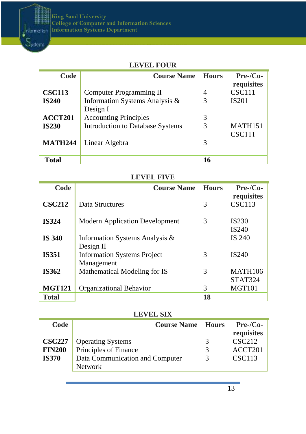

#### **LEVEL FOUR**

**ORMATION SYSTEMS DEPARTMENT**

**LLEGE OF COMPUTER AND INFORMATION SCIENCES** 

| Code                          | <b>Course Name</b>                                                                  | <b>Hours</b> | $Pre-Co-$<br>requisites       |
|-------------------------------|-------------------------------------------------------------------------------------|--------------|-------------------------------|
| <b>CSC113</b><br><b>IS240</b> | Computer Programming II<br>Information Systems Analysis &                           | 4<br>3       | CSC111<br><b>IS201</b>        |
| ACCT201<br><b>IS230</b>       | Design I<br><b>Accounting Principles</b><br><b>Introduction to Database Systems</b> | 3<br>3       | MATH <sub>151</sub><br>CSC111 |
| <b>MATH244</b>                | Linear Algebra                                                                      | 3            |                               |
| Total                         |                                                                                     | 16           |                               |

#### **LEVEL FIVE**

| Code          | <b>Course Name</b>                    | <b>Hours</b> | $Pre-Co-$                              |
|---------------|---------------------------------------|--------------|----------------------------------------|
| <b>CSC212</b> | Data Structures                       | 3            | requisites<br>CSC113                   |
| <b>IS324</b>  | <b>Modern Application Development</b> | 3            | IS <sub>230</sub><br>IS <sub>240</sub> |
| <b>IS 340</b> | Information Systems Analysis &        |              | IS 240                                 |
|               | Design II                             |              |                                        |
| <b>IS351</b>  | <b>Information Systems Project</b>    | 3            | IS <sub>240</sub>                      |
|               | Management                            |              |                                        |
| IS362         | Mathematical Modeling for IS          | 3            | <b>MATH106</b>                         |
|               |                                       |              | STAT324                                |
| <b>MGT121</b> | Organizational Behavior               | 3            | <b>MGT101</b>                          |
| Total         |                                       | 18           |                                        |

#### **LEVEL SIX**

| Code                                           | <b>Course Name</b>                                                                   | <b>Hours</b>            | $Pre-Co-$<br>requisites                        |
|------------------------------------------------|--------------------------------------------------------------------------------------|-------------------------|------------------------------------------------|
| <b>CSC227</b><br><b>FIN200</b><br><b>IS370</b> | <b>Operating Systems</b><br>Principles of Finance<br>Data Communication and Computer | 3<br>3<br>$\mathcal{R}$ | CSC212<br>ACCT <sub>201</sub><br><b>CSC113</b> |
|                                                | <b>Network</b>                                                                       |                         |                                                |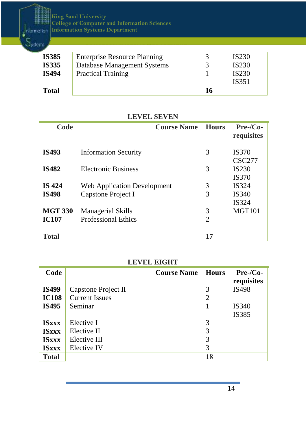mputer and information<br>-**G SAUD UNIVERSITY LLEGE OF COMPUTER AND INFORMATION SCIENCES ORMATION SYSTEMS King Saud University College of Computer and Information Sciences Information Systems Department** 

 $\frac{1}{2}$ nlamation  $S_{\text{vsteraj}}$ **DEPARTMENT**

| <b>IS385</b> | <b>Enterprise Resource Planning</b> |    | IS <sub>230</sub> |
|--------------|-------------------------------------|----|-------------------|
| <b>IS335</b> | Database Management Systems         |    | IS <sub>230</sub> |
| <b>IS494</b> | <b>Practical Training</b>           |    | <b>IS230</b>      |
|              |                                     |    | IS351             |
| Total        |                                     | 16 |                   |

**ORMATION SYSTEMS DEPARTMENT**

**LLEGE OF COMPUTER AND INFORMATION SCIENCES** 

| Code           | <b>Course Name</b>          | <b>Hours</b>   | $Pre-Co-$<br>requisites           |  |  |  |  |
|----------------|-----------------------------|----------------|-----------------------------------|--|--|--|--|
| <b>IS493</b>   | <b>Information Security</b> | 3              | <b>IS370</b><br><b>CSC277</b>     |  |  |  |  |
| <b>IS482</b>   | Electronic Business         | 3              | IS <sub>230</sub><br><b>IS370</b> |  |  |  |  |
| <b>IS 424</b>  | Web Application Development | 3              | IS324                             |  |  |  |  |
| <b>IS498</b>   | Capstone Project I          | 3              | IS340<br>IS324                    |  |  |  |  |
| <b>MGT 330</b> | <b>Managerial Skills</b>    | 3              | <b>MGT101</b>                     |  |  |  |  |
| <b>IC107</b>   | <b>Professional Ethics</b>  | $\overline{c}$ |                                   |  |  |  |  |
| <b>Total</b>   |                             | 17             |                                   |  |  |  |  |

#### **LEVEL SEVEN**

#### **LEVEL EIGHT**

| Code         |                       | <b>Course Name</b> | <b>Hours</b> | $Pre-Co-$<br>requisites |  |  |
|--------------|-----------------------|--------------------|--------------|-------------------------|--|--|
| <b>IS499</b> | Capstone Project II   |                    | 3            | IS498                   |  |  |
| <b>IC108</b> | <b>Current Issues</b> |                    | 2            |                         |  |  |
| <b>IS495</b> | Seminar               |                    |              | IS340                   |  |  |
|              |                       |                    |              | IS385                   |  |  |
| <b>ISxxx</b> | Elective I            |                    | 3            |                         |  |  |
| <b>ISxxx</b> | Elective II           |                    | 3            |                         |  |  |
| <b>ISxxx</b> | Elective III          |                    | 3            |                         |  |  |
| <b>ISxxx</b> | Elective IV           |                    | 3            |                         |  |  |
| <b>Total</b> |                       |                    | 18           |                         |  |  |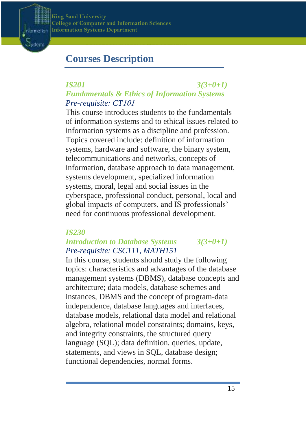**College of Computer and Information Sciences**  $\mathbf{King}\ \mathbf{Saud}\ \mathbf{University}$  ${\bf Information Systems Department}$ 



## <span id="page-14-0"></span>**Courses Description**

**DEPARTMENT**

### *IS201 3(3+0+1) Fundamentals & Ethics of Information Systems Pre-requisite: CT*<sup>101</sup>

**ORMATION SYSTEMS DEPARTMENT**

**LLEGE OF COMPUTER AND INFORMATION SCIENCES** 

This course introduces students to the fundamentals of information systems and to ethical issues related to information systems as a discipline and profession. Topics covered include: definition of information systems, hardware and software, the binary system, telecommunications and networks, concepts of information, database approach to data management, systems development, specialized information systems, moral, legal and social issues in the cyberspace, professional conduct, personal, local and global impacts of computers, and IS professionals' need for continuous professional development.

#### *IS230*

#### *Introduction to Database Systems 3(3+0+1) Pre-requisite: CSC111, MATH151*

In this course, students should study the following topics: characteristics and advantages of the database management systems (DBMS), database concepts and architecture; data models, database schemes and instances, DBMS and the concept of program-data independence, database languages and interfaces, database models, relational data model and relational algebra, relational model constraints; domains, keys, and integrity constraints, the structured query language (SQL); data definition, queries, update, statements, and views in SQL, database design; functional dependencies, normal forms.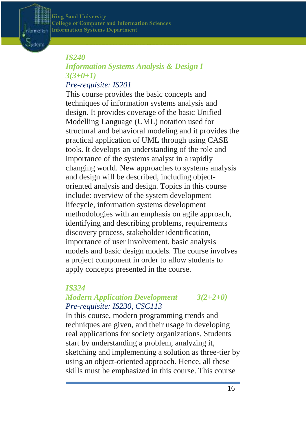**College of Computer and Information Sciences**  $\mathbf{King}\ \mathbf{Saud}\ \mathbf{University}$  ${\bf Information Systems Department}$ 

#### *IS240*

Information Dysten

**DEPARTMENT**

## *Information Systems Analysis & Design I 3(3+0+1)*

**ORMATION SYSTEMS DEPARTMENT**

**LLEGE OF COMPUTER AND INFORMATION SCIENCES** 

### *Pre-requisite: IS201*

This course provides the basic concepts and techniques of information systems analysis and design. It provides coverage of the basic Unified Modelling Language (UML) notation used for structural and behavioral modeling and it provides the practical application of UML through using CASE tools. It develops an understanding of the role and importance of the systems analyst in a rapidly changing world. New approaches to systems analysis and design will be described, including objectoriented analysis and design. Topics in this course include: overview of the system development lifecycle, information systems development methodologies with an emphasis on agile approach, identifying and describing problems, requirements discovery process, stakeholder identification, importance of user involvement, basic analysis models and basic design models. The course involves a project component in order to allow students to apply concepts presented in the course.

#### *IS324*

#### *Modern Application Development 3(2+2+0) Pre-requisite: IS230, CSC113*

In this course, modern programming trends and techniques are given, and their usage in developing real applications for society organizations. Students start by understanding a problem, analyzing it, sketching and implementing a solution as three-tier by using an object-oriented approach. Hence, all these skills must be emphasized in this course. This course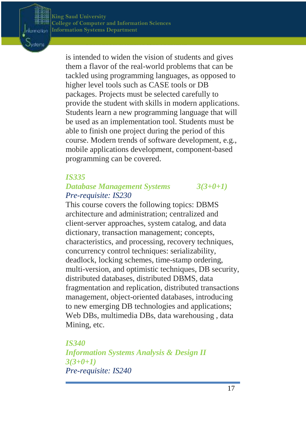Information Dysten

> is intended to widen the vision of students and gives them a flavor of the real-world problems that can be tackled using programming languages, as opposed to higher level tools such as CASE tools or DB packages. Projects must be selected carefully to provide the student with skills in modern applications. Students learn a new programming language that will be used as an implementation tool. Students must be able to finish one project during the period of this course. Modern trends of software development, e.g., mobile applications development, component-based programming can be covered.

**LLEGE OF COMPUTER AND INFORMATION SCIENCES** 

**ORMATION SYSTEMS DEPARTMENT**

#### *IS335*

**DEPARTMENT**

#### *Database Management Systems 3(3+0+1) Pre-requisite: IS230*

This course covers the following topics: DBMS architecture and administration; centralized and client-server approaches, system catalog, and data dictionary, transaction management; concepts, characteristics, and processing, recovery techniques, concurrency control techniques: serializability, deadlock, locking schemes, time-stamp ordering, multi-version, and optimistic techniques, DB security, distributed databases, distributed DBMS, data fragmentation and replication, distributed transactions management, object-oriented databases, introducing to new emerging DB technologies and applications; Web DBs, multimedia DBs, data warehousing , data Mining, etc.

*IS340 Information Systems Analysis & Design II 3(3+0+1) Pre-requisite: IS240*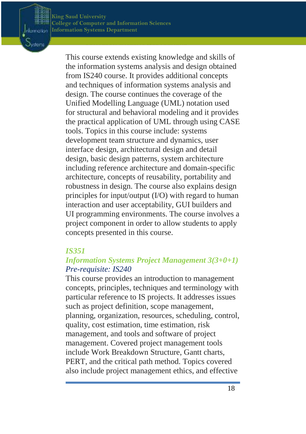Information Oysten

> This course extends existing knowledge and skills of the information systems analysis and design obtained from IS240 course. It provides additional concepts and techniques of information systems analysis and design. The course continues the coverage of the Unified Modelling Language (UML) notation used for structural and behavioral modeling and it provides the practical application of UML through using CASE tools. Topics in this course include: systems development team structure and dynamics, user interface design, architectural design and detail design, basic design patterns, system architecture including reference architecture and domain-specific architecture, concepts of reusability, portability and robustness in design. The course also explains design principles for input/output (I/O) with regard to human interaction and user acceptability, GUI builders and UI programming environments. The course involves a project component in order to allow students to apply concepts presented in this course.

**LLEGE OF COMPUTER AND INFORMATION SCIENCES** 

**ORMATION SYSTEMS DEPARTMENT**

#### *IS351*

### *Information Systems Project Management 3(3+0+1) Pre-requisite: IS240*

This course provides an introduction to management concepts, principles, techniques and terminology with particular reference to IS projects. It addresses issues such as project definition, scope management, planning, organization, resources, scheduling, control, quality, cost estimation, time estimation, risk management, and tools and software of project management. Covered project management tools include Work Breakdown Structure, Gantt charts, PERT, and the critical path method. Topics covered also include project management ethics, and effective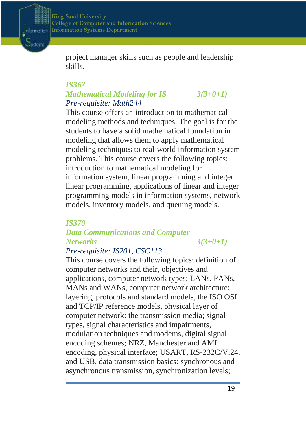

project manager skills such as people and leadership skills.

**ORMATION SYSTEMS DEPARTMENT**

**LLEGE OF COMPUTER AND INFORMATION SCIENCES** 

#### *IS362 Mathematical Modeling for IS 3(3+0+1) Pre-requisite: Math244*

This course offers an introduction to mathematical modeling methods and techniques. The goal is for the students to have a solid mathematical foundation in modeling that allows them to apply mathematical modeling techniques to real-world information system problems. This course covers the following topics: introduction to mathematical modeling for information system, linear programming and integer linear programming, applications of linear and integer programming models in information systems, network models, inventory models, and queuing models.

### *IS370 Data Communications and Computer Networks 3(3+0+1)*

### *Pre-requisite: IS201, CSC113*

This course covers the following topics: definition of computer networks and their, objectives and applications, computer network types; LANs, PANs, MANs and WANs, computer network architecture: layering, protocols and standard models, the ISO OSI and TCP/IP reference models, physical layer of computer network: the transmission media; signal types, signal characteristics and impairments, modulation techniques and modems, digital signal encoding schemes; NRZ, Manchester and AMI encoding, physical interface; USART, RS-232C/V.24, and USB, data transmission basics: synchronous and asynchronous transmission, synchronization levels;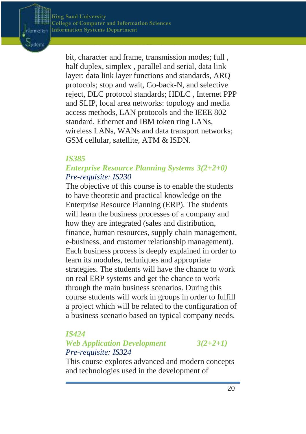Information Dyster

> bit, character and frame, transmission modes; full , half duplex, simplex , parallel and serial, data link layer: data link layer functions and standards, ARQ protocols; stop and wait, Go-back-N, and selective reject, DLC protocol standards; HDLC , Internet PPP and SLIP, local area networks: topology and media access methods, LAN protocols and the IEEE 802 standard, Ethernet and IBM token ring LANs, wireless LANs, WANs and data transport networks; GSM cellular, satellite, ATM & ISDN.

**LLEGE OF COMPUTER AND INFORMATION SCIENCES** 

**ORMATION SYSTEMS DEPARTMENT**

#### *IS385*

**DEPARTMENT**

#### *Enterprise Resource Planning Systems 3(2+2+0) Pre-requisite: IS230*

The objective of this course is to enable the students to have theoretic and practical knowledge on the Enterprise Resource Planning (ERP). The students will learn the business processes of a company and how they are integrated (sales and distribution, finance, human resources, supply chain management, e-business, and customer relationship management). Each business process is deeply explained in order to learn its modules, techniques and appropriate strategies. The students will have the chance to work on real ERP systems and get the chance to work through the main business scenarios. During this course students will work in groups in order to fulfill a project which will be related to the configuration of a business scenario based on typical company needs.

#### *IS424*

### *Web Application Development 3(2+2+1) Pre-requisite: IS324*

This course explores advanced and modern concepts and technologies used in the development of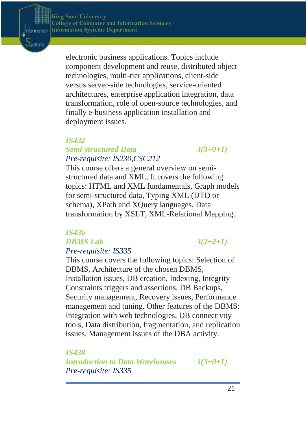Information Dysten

> electronic business applications. Topics include component development and reuse, distributed object technologies, multi-tier applications, client-side versus server-side technologies, service-oriented architectures, enterprise application integration, data transformation, role of open-source technologies, and finally e-business application installation and deployment issues.

**LLEGE OF COMPUTER AND INFORMATION SCIENCES** 

**ORMATION SYSTEMS DEPARTMENT**

#### *IS432*

**DEPARTMENT**

#### *Semi-structured Data 3(3+0+1) Pre-requisite: IS230,CSC212*

This course offers a general overview on semistructured data and XML. It covers the following topics: HTML and XML fundamentals, Graph models for semi-structured data, Typing XML (DTD or schema), XPath and XQuery languages, Data transformation by XSLT, XML-Relational Mapping.

#### *IS436 DBMS Lab 3(2+2+1) Pre-requisite: IS335*

This course covers the following topics: Selection of DBMS, Architecture of the chosen DBMS, Installation issues, DB creation, Indexing, Integrity Constraints triggers and assertions, DB Backups, Security management, Recovery issues, Performance management and tuning. Other features of the DBMS: Integration with web technologies, DB connectivity tools, Data distribution, fragmentation, and replication issues, Management issues of the DBA activity.

*IS438*

*Introduction to Data Warehouses 3(3+0+1) Pre-requisite: IS335*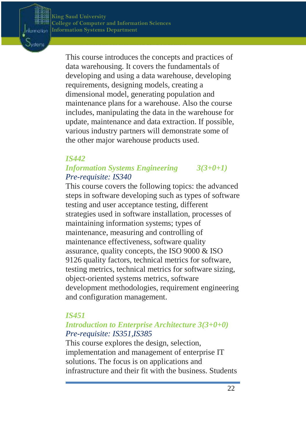Information Dysten

> This course introduces the concepts and practices of data warehousing. It covers the fundamentals of developing and using a data warehouse, developing requirements, designing models, creating a dimensional model, generating population and maintenance plans for a warehouse. Also the course includes, manipulating the data in the warehouse for update, maintenance and data extraction. If possible, various industry partners will demonstrate some of the other major warehouse products used.

**LLEGE OF COMPUTER AND INFORMATION SCIENCES** 

**ORMATION SYSTEMS DEPARTMENT**

#### *IS442*

**DEPARTMENT**

### *Information Systems Engineering 3(3+0+1) Pre-requisite: IS340*

This course covers the following topics: the advanced steps in software developing such as types of software testing and user acceptance testing, different strategies used in software installation, processes of maintaining information systems; types of maintenance, measuring and controlling of maintenance effectiveness, software quality assurance, quality concepts, the ISO 9000 & ISO 9126 quality factors, technical metrics for software, testing metrics, technical metrics for software sizing, object-oriented systems metrics, software development methodologies, requirement engineering and configuration management.

#### *IS451*

### *Introduction to Enterprise Architecture 3(3+0+0) Pre-requisite: IS351,IS385*

This course explores the design, selection, implementation and management of enterprise IT solutions. The focus is on applications and infrastructure and their fit with the business. Students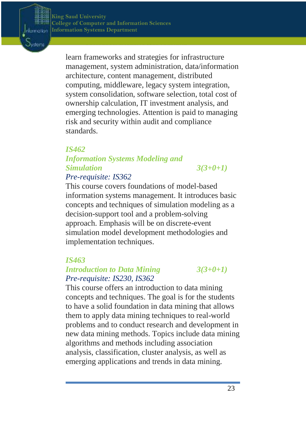

learn frameworks and strategies for infrastructure management, system administration, data/information architecture, content management, distributed computing, middleware, legacy system integration, system consolidation, software selection, total cost of ownership calculation, IT investment analysis, and emerging technologies. Attention is paid to managing risk and security within audit and compliance standards.

**LLEGE OF COMPUTER AND INFORMATION SCIENCES** 

**ORMATION SYSTEMS DEPARTMENT**

#### *IS462*

**DEPARTMENT**

## *Information Systems Modeling and Simulation 3(3+0+1)*

### *Pre-requisite: IS362*

This course covers foundations of model-based information systems management. It introduces basic concepts and techniques of simulation modeling as a decision-support tool and a problem-solving approach. Emphasis will be on discrete-event simulation model development methodologies and implementation techniques.

#### *IS463*

### *Introduction to Data Mining 3(3+0+1) Pre-requisite: IS230, IS362*

This course offers an introduction to data mining concepts and techniques. The goal is for the students to have a solid foundation in data mining that allows them to apply data mining techniques to real-world problems and to conduct research and development in new data mining methods. Topics include data mining algorithms and methods including association analysis, classification, cluster analysis, as well as emerging applications and trends in data mining.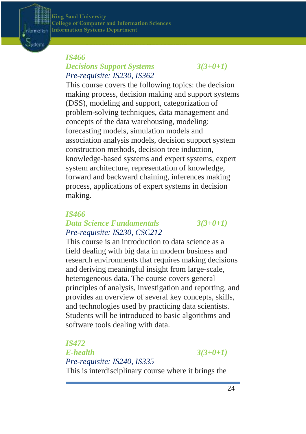**College of Computer and Information Sciences**  $\mathbf{King}\ \mathbf{Saud}\ \mathbf{University}$  ${\bf Information Systems Department}$ 

**DEPARTMENT**

Information Dysten

#### *IS466 Decisions Support Systems 3(3+0+1) Pre-requisite: IS230, IS362*

This course covers the following topics: the decision making process, decision making and support systems (DSS), modeling and support, categorization of problem-solving techniques, data management and concepts of the data warehousing, modeling; forecasting models, simulation models and association analysis models, decision support system construction methods, decision tree induction, knowledge-based systems and expert systems, expert system architecture, representation of knowledge, forward and backward chaining, inferences making process, applications of expert systems in decision making.

**LLEGE OF COMPUTER AND INFORMATION SCIENCES** 

**ORMATION SYSTEMS DEPARTMENT**

#### *IS466*

#### *Data Science Fundamentals 3(3+0+1) Pre-requisite: IS230, CSC212*

This course is an introduction to data science as a field dealing with big data in modern business and research environments that requires making decisions and deriving meaningful insight from large-scale, heterogeneous data. The course covers general principles of analysis, investigation and reporting, and provides an overview of several key concepts, skills, and technologies used by practicing data scientists. Students will be introduced to basic algorithms and software tools dealing with data.

*IS472 E-health 3(3+0+1) Pre-requisite: IS240, IS335* This is interdisciplinary course where it brings the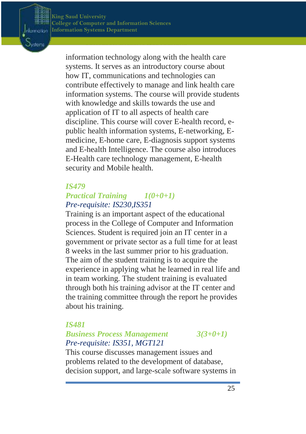Information Dysten

> information technology along with the health care systems. It serves as an introductory course about how IT, communications and technologies can contribute effectively to manage and link health care information systems. The course will provide students with knowledge and skills towards the use and application of IT to all aspects of health care discipline. This course will cover E-health record, epublic health information systems, E-networking, Emedicine, E-home care, E-diagnosis support systems and E-health Intelligence. The course also introduces E-Health care technology management, E-health security and Mobile health.

**LLEGE OF COMPUTER AND INFORMATION SCIENCES** 

**ORMATION SYSTEMS DEPARTMENT**

#### *IS479*

**DEPARTMENT**

### *Practical Training 1(0+0+1) Pre-requisite: IS230,IS351*

Training is an important aspect of the educational process in the College of Computer and Information Sciences. Student is required join an IT center in a government or private sector as a full time for at least 8 weeks in the last summer prior to his graduation. The aim of the student training is to acquire the experience in applying what he learned in real life and in team working. The student training is evaluated through both his training advisor at the IT center and the training committee through the report he provides about his training.

#### *IS481*

### *Business Process Management 3(3+0+1) Pre-requisite: IS351, MGT121*

This course discusses management issues and problems related to the development of database, decision support, and large-scale software systems in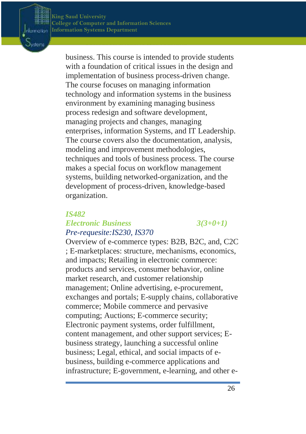

business. This course is intended to provide students with a foundation of critical issues in the design and implementation of business process-driven change. The course focuses on managing information technology and information systems in the business environment by examining managing business process redesign and software development, managing projects and changes, managing enterprises, information Systems, and IT Leadership. The course covers also the documentation, analysis, modeling and improvement methodologies, techniques and tools of business process. The course makes a special focus on workflow management systems, building networked-organization, and the development of process-driven, knowledge-based organization.

**LLEGE OF COMPUTER AND INFORMATION SCIENCES** 

**ORMATION SYSTEMS DEPARTMENT**

#### *IS482 Electronic Business 3(3+0+1) Pre-requesite:IS230, IS370*

Overview of e-commerce types: B2B, B2C, and, C2C ; E-marketplaces: structure, mechanisms, economics, and impacts; Retailing in electronic commerce: products and services, consumer behavior, online market research, and customer relationship management; Online advertising, e-procurement, exchanges and portals; E-supply chains, collaborative commerce; Mobile commerce and pervasive computing; Auctions; E-commerce security; Electronic payment systems, order fulfillment, content management, and other support services; Ebusiness strategy, launching a successful online business; Legal, ethical, and social impacts of ebusiness, building e-commerce applications and infrastructure; E-government, e-learning, and other e-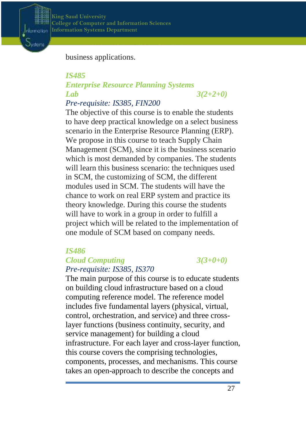

**College of Computer and Information Sciences**  $\mathbf{King}\ \mathbf{Saud}\ \mathbf{University}$  ${\bf Information Systems Department}$ 

business applications.

**DEPARTMENT**

## *IS485 Enterprise Resource Planning Systems Lab 3(2+2+0)*

**ORMATION SYSTEMS DEPARTMENT**

*Pre-requisite: IS385, FIN200*

The objective of this course is to enable the students to have deep practical knowledge on a select business scenario in the Enterprise Resource Planning (ERP). We propose in this course to teach Supply Chain Management (SCM), since it is the business scenario which is most demanded by companies. The students will learn this business scenario: the techniques used in SCM, the customizing of SCM, the different modules used in SCM. The students will have the chance to work on real ERP system and practice its theory knowledge. During this course the students will have to work in a group in order to fulfill a project which will be related to the implementation of one module of SCM based on company needs.

**LLEGE OF COMPUTER AND INFORMATION SCIENCES** 

#### *IS486*

#### *Cloud Computing 3(3+0+0) Pre-requisite: IS385, IS370*

The main purpose of this course is to educate students on building cloud infrastructure based on a cloud computing reference model. The reference model includes five fundamental layers (physical, virtual, control, orchestration, and service) and three crosslayer functions (business continuity, security, and service management) for building a cloud infrastructure. For each layer and cross-layer function, this course covers the comprising technologies, components, processes, and mechanisms. This course takes an open-approach to describe the concepts and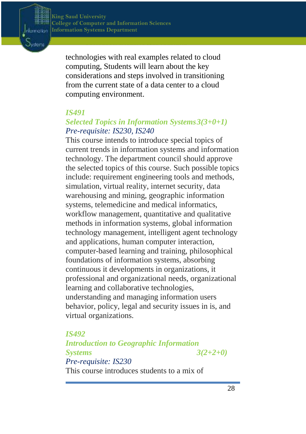

technologies with real examples related to cloud computing, Students will learn about the key considerations and steps involved in transitioning from the current state of a data center to a cloud computing environment.

**ORMATION SYSTEMS DEPARTMENT**

**LLEGE OF COMPUTER AND INFORMATION SCIENCES** 

#### *IS491*

**DEPARTMENT**

#### *Selected Topics in Information Systems3(3+0+1) Pre-requisite: IS230, IS240*

This course intends to introduce special topics of current trends in information systems and information technology. The department council should approve the selected topics of this course. Such possible topics include: requirement engineering tools and methods, simulation, virtual reality, internet security, data warehousing and mining, geographic information systems, telemedicine and medical informatics, workflow management, quantitative and qualitative methods in information systems, global information technology management, intelligent agent technology and applications, human computer interaction, computer-based learning and training, philosophical foundations of information systems, absorbing continuous it developments in organizations, it professional and organizational needs, organizational learning and collaborative technologies, understanding and managing information users behavior, policy, legal and security issues in is, and virtual organizations.

#### *IS492*

*Introduction to Geographic Information Systems 3(2+2+0) Pre-requisite: IS230* This course introduces students to a mix of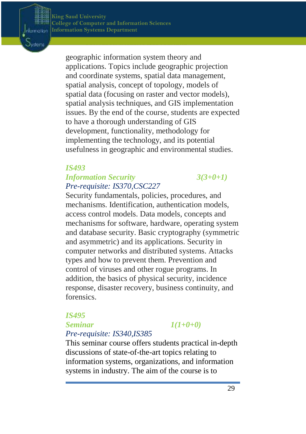Information Dysten

> geographic information system theory and applications. Topics include geographic projection and coordinate systems, spatial data management, spatial analysis, concept of topology, models of spatial data (focusing on raster and vector models), spatial analysis techniques, and GIS implementation issues. By the end of the course, students are expected to have a thorough understanding of GIS development, functionality, methodology for implementing the technology, and its potential usefulness in geographic and environmental studies.

**LLEGE OF COMPUTER AND INFORMATION SCIENCES** 

**ORMATION SYSTEMS DEPARTMENT**

#### *IS493*

**DEPARTMENT**

### *Information Security 3(3+0+1) Pre-requisite: IS370,CSC227*

Security fundamentals, policies, procedures, and mechanisms. Identification, authentication models, access control models. Data models, concepts and mechanisms for software, hardware, operating system and database security. Basic cryptography (symmetric and asymmetric) and its applications. Security in computer networks and distributed systems. Attacks types and how to prevent them. Prevention and control of viruses and other rogue programs. In addition, the basics of physical security, incidence response, disaster recovery, business continuity, and forensics.

#### *IS495*

#### *Seminar 1(1+0+0)*

*Pre-requisite: IS340,IS385*

This seminar course offers students practical in-depth discussions of state-of-the-art topics relating to information systems, organizations, and information systems in industry. The aim of the course is to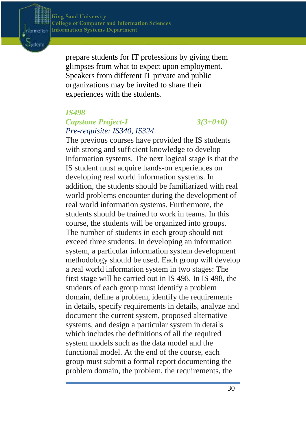Information Dysten

> prepare students for IT professions by giving them glimpses from what to expect upon employment. Speakers from different IT private and public organizations may be invited to share their experiences with the students.

**ORMATION SYSTEMS DEPARTMENT**

**LLEGE OF COMPUTER AND INFORMATION SCIENCES** 

#### *IS498*

**DEPARTMENT**

### *Capstone Project-I 3(3+0+0) Pre-requisite: IS340, IS324*

The previous courses have provided the IS students with strong and sufficient knowledge to develop information systems. The next logical stage is that the IS student must acquire hands-on experiences on developing real world information systems. In addition, the students should be familiarized with real world problems encounter during the development of real world information systems. Furthermore, the students should be trained to work in teams. In this course, the students will be organized into groups. The number of students in each group should not exceed three students. In developing an information system, a particular information system development methodology should be used. Each group will develop a real world information system in two stages: The first stage will be carried out in IS 498. In IS 498, the students of each group must identify a problem domain, define a problem, identify the requirements in details, specify requirements in details, analyze and document the current system, proposed alternative systems, and design a particular system in details which includes the definitions of all the required system models such as the data model and the functional model. At the end of the course, each group must submit a formal report documenting the problem domain, the problem, the requirements, the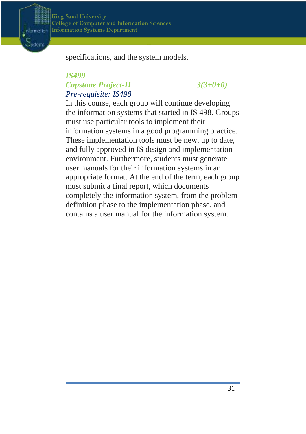

specifications, and the system models.

**ORMATION SYSTEMS DEPARTMENT**

### *IS499 Capstone Project-II 3(3+0+0) Pre-requisite: IS498*

**DEPARTMENT**

In this course, each group will continue developing the information systems that started in IS 498. Groups must use particular tools to implement their information systems in a good programming practice. These implementation tools must be new, up to date, and fully approved in IS design and implementation environment. Furthermore, students must generate user manuals for their information systems in an appropriate format. At the end of the term, each group must submit a final report, which documents completely the information system, from the problem definition phase to the implementation phase, and contains a user manual for the information system.